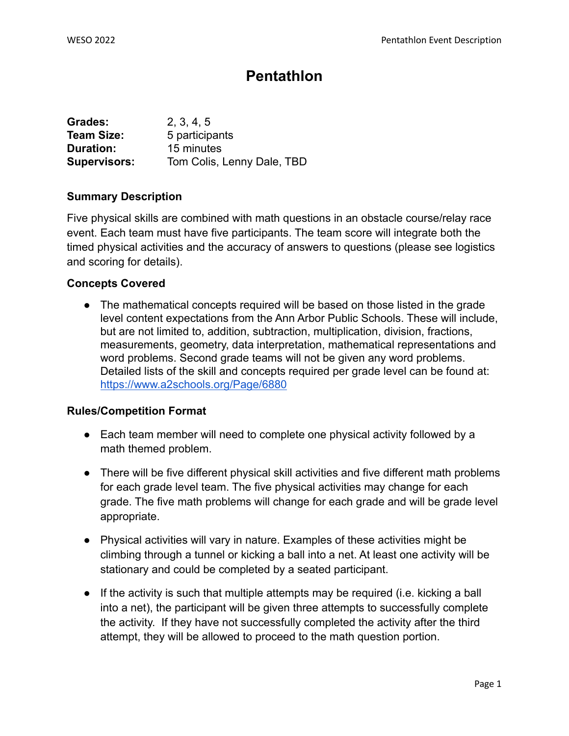# **Pentathlon**

| Grades:             | 2, 3, 4, 5                 |
|---------------------|----------------------------|
| <b>Team Size:</b>   | 5 participants             |
| Duration:           | 15 minutes                 |
| <b>Supervisors:</b> | Tom Colis, Lenny Dale, TBD |

# **Summary Description**

Five physical skills are combined with math questions in an obstacle course/relay race event. Each team must have five participants. The team score will integrate both the timed physical activities and the accuracy of answers to questions (please see logistics and scoring for details).

# **Concepts Covered**

• The mathematical concepts required will be based on those listed in the grade level content expectations from the Ann Arbor Public Schools. These will include, but are not limited to, addition, subtraction, multiplication, division, fractions, measurements, geometry, data interpretation, mathematical representations and word problems. Second grade teams will not be given any word problems. Detailed lists of the skill and concepts required per grade level can be found at: <https://www.a2schools.org/Page/6880>

# **Rules/Competition Format**

- Each team member will need to complete one physical activity followed by a math themed problem.
- There will be five different physical skill activities and five different math problems for each grade level team. The five physical activities may change for each grade. The five math problems will change for each grade and will be grade level appropriate.
- Physical activities will vary in nature. Examples of these activities might be climbing through a tunnel or kicking a ball into a net. At least one activity will be stationary and could be completed by a seated participant.
- If the activity is such that multiple attempts may be required (i.e. kicking a ball into a net), the participant will be given three attempts to successfully complete the activity. If they have not successfully completed the activity after the third attempt, they will be allowed to proceed to the math question portion.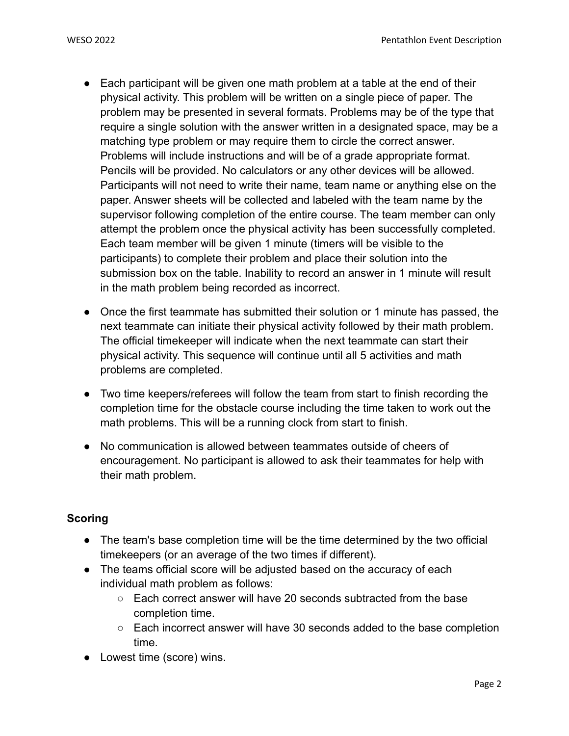- Each participant will be given one math problem at a table at the end of their physical activity. This problem will be written on a single piece of paper. The problem may be presented in several formats. Problems may be of the type that require a single solution with the answer written in a designated space, may be a matching type problem or may require them to circle the correct answer. Problems will include instructions and will be of a grade appropriate format. Pencils will be provided. No calculators or any other devices will be allowed. Participants will not need to write their name, team name or anything else on the paper. Answer sheets will be collected and labeled with the team name by the supervisor following completion of the entire course. The team member can only attempt the problem once the physical activity has been successfully completed. Each team member will be given 1 minute (timers will be visible to the participants) to complete their problem and place their solution into the submission box on the table. Inability to record an answer in 1 minute will result in the math problem being recorded as incorrect.
- Once the first teammate has submitted their solution or 1 minute has passed, the next teammate can initiate their physical activity followed by their math problem. The official timekeeper will indicate when the next teammate can start their physical activity. This sequence will continue until all 5 activities and math problems are completed.
- Two time keepers/referees will follow the team from start to finish recording the completion time for the obstacle course including the time taken to work out the math problems. This will be a running clock from start to finish.
- No communication is allowed between teammates outside of cheers of encouragement. No participant is allowed to ask their teammates for help with their math problem.

# **Scoring**

- The team's base completion time will be the time determined by the two official timekeepers (or an average of the two times if different).
- The teams official score will be adjusted based on the accuracy of each individual math problem as follows:
	- Each correct answer will have 20 seconds subtracted from the base completion time.
	- Each incorrect answer will have 30 seconds added to the base completion time.
- Lowest time (score) wins.